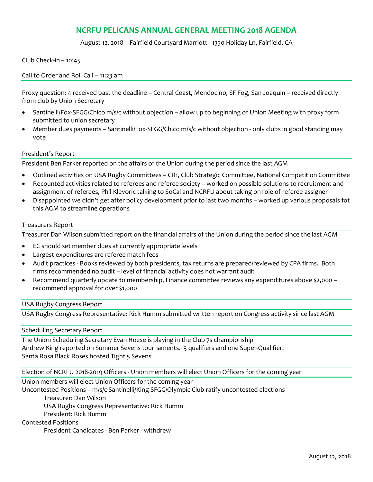# **NCRFU PELICANS ANNUAL GENERAL MEETING 2018 AGENDA**

August 12, 2018 – Fairfield Courtyard Marriott - 1350 Holiday Ln, Fairfield, CA

Club Check-in – 10:45

Call to Order and Roll Call – 11:23 am

Proxy question: 4 received past the deadline – Central Coast, Mendocino, SF Fog, San Joaquin – received directly from club by Union Secretary

- Santinelli/Fox-SFGG/Chico m/s/c without objection allow up to beginning of Union Meeting with proxy form submitted to union secretary
- Member dues payments Santinelli/Fox-SFGG/Chico m/s/c without objection only clubs in good standing may vote

### President's Report

President Ben Parker reported on the affairs of the Union during the period since the last AGM

- Outlined activities on USA Rugby Committees CR1, Club Strategic Committee, National Competition Committee
- Recounted activities related to referees and referee society worked on possible solutions to recruitment and assignment of referees, Phil Klevoric talking to SoCal and NCRFU about taking on role of referee assigner
- Disappointed we didn't get after policy development prior to last two months worked up various proposals fot this AGM to streamline operations

### Treasurers Report

Treasurer Dan Wilson submitted report on the financial affairs of the Union during the period since the last AGM

- EC should set member dues at currently appropriate levels
- Largest expenditures are referee match fees
- Audit practices Books reviewed by both presidents, tax returns are prepared/reviewed by CPA firms. Both firms recommended no audit – level of financial activity does not warrant audit
- Recommend quarterly update to membership, Finance committee reviews any expenditures above \$2,000 recommend approval for over \$1,000

### USA Rugby Congress Report

USA Rugby Congress Representative: Rick Humm submitted written report on Congress activity since last AGM

Scheduling Secretary Report

The Union Scheduling Secretary Evan Hoese is playing in the Club 7s championship Andrew King reported on Summer Sevens tournaments. 3 qualifiers and one Super-Qualifier. Santa Rosa Black Roses hosted Tight 5 Sevens

Election of NCRFU 2018-2019 Officers - Union members will elect Union Officers for the coming year

Union members will elect Union Officers for the coming year

Uncontested Positions – m/s/c Santinelli/King-SFGG/Olympic Club ratify uncontested elections

Treasurer: Dan Wilson

USA Rugby Congress Representative: Rick Humm

President: Rick Humm

Contested Positions

President Candidates - Ben Parker - withdrew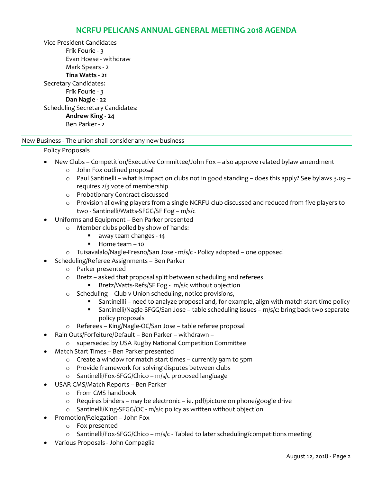## **NCRFU PELICANS ANNUAL GENERAL MEETING 2018 AGENDA**

Vice President Candidates Frik Fourie - 3 Evan Hoese - withdraw Mark Spears - 2 **Tina Watts - 21** Secretary Candidates: Frik Fourie - 3 **Dan Nagle - 22** Scheduling Secretary Candidates: **Andrew King - 24** Ben Parker - 2

## New Business - The union shall consider any new business

## Policy Proposals

- New Clubs Competition/Executive Committee/John Fox also approve related bylaw amendment
	- o John Fox outlined proposal
	- o Paul Santinelli what is impact on clubs not in good standing does this apply? See bylaws 3.09 requires 2/3 vote of membership
	- o Probationary Contract discussed
	- o Provision allowing players from a single NCRFU club discussed and reduced from five players to two - Santinelli/Watts-SFGG/SF Fog – m/s/c
- Uniforms and Equipment Ben Parker presented
	- o Member clubs polled by show of hands:
		- away team changes 14
		- Home team 10
		- o Tuisavalalo/Nagle-Fresno/San Jose m/s/c Policy adopted one opposed
- Scheduling/Referee Assignments Ben Parker
	- o Parker presented
	- o Bretz asked that proposal split between scheduling and referees
		- § Bretz/Watts-Refs/SF Fog m/s/c without objection
	- o Scheduling Club v Union scheduling, notice provisions,
		- § Santinellli need to analyze proposal and, for example, align with match start time policy
		- Santinelli/Nagle-SFGG/San Jose table scheduling issues m/s/c: bring back two separate policy proposals
	- o Referees King/Nagle-OC/San Jose table referee proposal
- Rain Outs/Forfeiture/Default Ben Parker withdrawn
	- o superseded by USA Rugby National Competition Committee
- Match Start Times Ben Parker presented
	- o Create a window for match start times currently 9am to 5pm
	- o Provide framework for solving disputes between clubs
	- o Santinelli/Fox-SFGG/Chico m/s/c proposed langiuage
- USAR CMS/Match Reports Ben Parker
	- o From CMS handbook
	- o Requires binders may be electronic ie. pdf/picture on phone/google drive
	- o Santinelli/King-SFGG/OC m/s/c policy as written without objection
- Promotion/Relegation John Fox
	- o Fox presented
	- $\circ$  Santinelli/Fox-SFGG/Chico m/s/c Tabled to later scheduling/competitions meeting
- Various Proposals John Compaglia